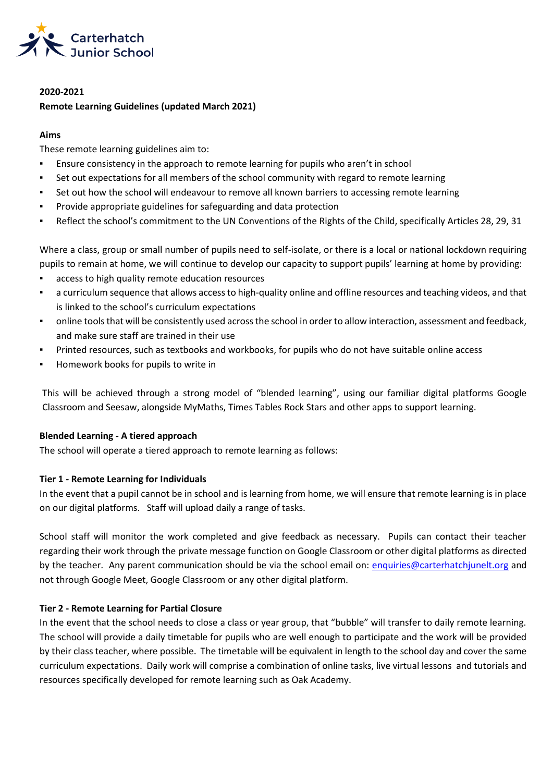

# **2020-2021 Remote Learning Guidelines (updated March 2021)**

# **Aims**

These remote learning guidelines aim to:

- **•** Ensure consistency in the approach to remote learning for pupils who aren't in school
- Set out expectations for all members of the school community with regard to remote learning
- Set out how the school will endeavour to remove all known barriers to accessing remote learning
- Provide appropriate guidelines for safeguarding and data protection
- Reflect the school's commitment to the UN Conventions of the Rights of the Child, specifically Articles 28, 29, 31

Where a class, group or small number of pupils need to self-isolate, or there is a local or national lockdown requiring pupils to remain at home, we will continue to develop our capacity to support pupils' learning at home by providing:

- access to high quality remote education resources
- a curriculum sequence that allows access to high-quality online and offline resources and teaching videos, and that is linked to the school's curriculum expectations
- online tools that will be consistently used across the school in order to allow interaction, assessment and feedback, and make sure staff are trained in their use
- Printed resources, such as textbooks and workbooks, for pupils who do not have suitable online access
- Homework books for pupils to write in

This will be achieved through a strong model of "blended learning", using our familiar digital platforms Google Classroom and Seesaw, alongside MyMaths, Times Tables Rock Stars and other apps to support learning.

# **Blended Learning - A tiered approach**

The school will operate a tiered approach to remote learning as follows:

# **Tier 1 - Remote Learning for Individuals**

In the event that a pupil cannot be in school and is learning from home, we will ensure that remote learning is in place on our digital platforms. Staff will upload daily a range of tasks.

School staff will monitor the work completed and give feedback as necessary. Pupils can contact their teacher regarding their work through the private message function on Google Classroom or other digital platforms as directed by the teacher. Any parent communication should be via the school email on: [enquiries@carterhatchjunelt.org](mailto:enquiries@carterhatchjunelt.org) and not through Google Meet, Google Classroom or any other digital platform.

# **Tier 2 - Remote Learning for Partial Closure**

In the event that the school needs to close a class or year group, that "bubble" will transfer to daily remote learning. The school will provide a daily timetable for pupils who are well enough to participate and the work will be provided by their class teacher, where possible. The timetable will be equivalent in length to the school day and cover the same curriculum expectations. Daily work will comprise a combination of online tasks, live virtual lessons and tutorials and resources specifically developed for remote learning such as Oak Academy.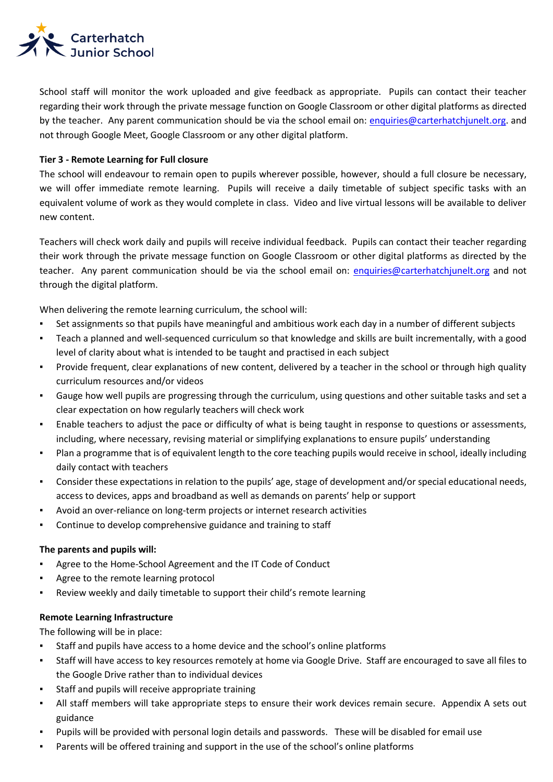

School staff will monitor the work uploaded and give feedback as appropriate. Pupils can contact their teacher regarding their work through the private message function on Google Classroom or other digital platforms as directed by the teacher. Any parent communication should be via the school email on: [enquiries@carterhatchjunelt.org.](mailto:enquiries@carterhatchjunelt.org) and not through Google Meet, Google Classroom or any other digital platform.

### **Tier 3 - Remote Learning for Full closure**

The school will endeavour to remain open to pupils wherever possible, however, should a full closure be necessary, we will offer immediate remote learning. Pupils will receive a daily timetable of subject specific tasks with an equivalent volume of work as they would complete in class. Video and live virtual lessons will be available to deliver new content.

Teachers will check work daily and pupils will receive individual feedback. Pupils can contact their teacher regarding their work through the private message function on Google Classroom or other digital platforms as directed by the teacher. Any parent communication should be via the school email on: [enquiries@carterhatchjunelt.org](mailto:enquiries@carterhatchjunelt.org) and not through the digital platform.

When delivering the remote learning curriculum, the school will:

- Set assignments so that pupils have meaningful and ambitious work each day in a number of different subjects
- Teach a planned and well-sequenced curriculum so that knowledge and skills are built incrementally, with a good level of clarity about what is intended to be taught and practised in each subject
- Provide frequent, clear explanations of new content, delivered by a teacher in the school or through high quality curriculum resources and/or videos
- Gauge how well pupils are progressing through the curriculum, using questions and other suitable tasks and set a clear expectation on how regularly teachers will check work
- Enable teachers to adjust the pace or difficulty of what is being taught in response to questions or assessments, including, where necessary, revising material or simplifying explanations to ensure pupils' understanding
- Plan a programme that is of equivalent length to the core teaching pupils would receive in school, ideally including daily contact with teachers
- Consider these expectations in relation to the pupils' age, stage of development and/or special educational needs, access to devices, apps and broadband as well as demands on parents' help or support
- Avoid an over-reliance on long-term projects or internet research activities
- Continue to develop comprehensive guidance and training to staff

#### **The parents and pupils will:**

- Agree to the Home-School Agreement and the IT Code of Conduct
- Agree to the remote learning protocol
- Review weekly and daily timetable to support their child's remote learning

#### **Remote Learning Infrastructure**

The following will be in place:

- Staff and pupils have access to a home device and the school's online platforms
- Staff will have access to key resources remotely at home via Google Drive. Staff are encouraged to save all files to the Google Drive rather than to individual devices
- Staff and pupils will receive appropriate training
- All staff members will take appropriate steps to ensure their work devices remain secure. Appendix A sets out guidance
- Pupils will be provided with personal login details and passwords. These will be disabled for email use
- Parents will be offered training and support in the use of the school's online platforms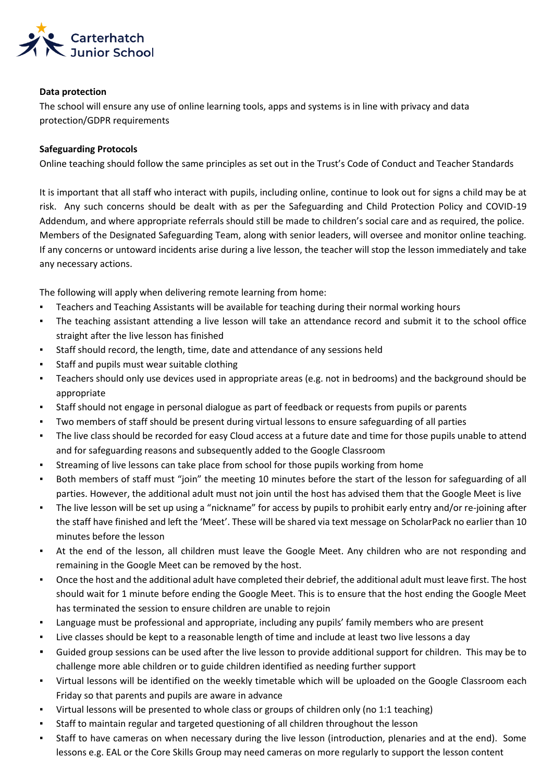

#### **Data protection**

The school will ensure any use of online learning tools, apps and systems is in line with privacy and data protection/GDPR requirements

#### **Safeguarding Protocols**

Online teaching should follow the same principles as set out in the Trust's Code of Conduct and Teacher Standards

It is important that all staff who interact with pupils, including online, continue to look out for signs a child may be at risk. Any such concerns should be dealt with as per the Safeguarding and Child Protection Policy and COVID-19 Addendum, and where appropriate referrals should still be made to children's social care and as required, the police. Members of the Designated Safeguarding Team, along with senior leaders, will oversee and monitor online teaching. If any concerns or untoward incidents arise during a live lesson, the teacher will stop the lesson immediately and take any necessary actions.

The following will apply when delivering remote learning from home:

- Teachers and Teaching Assistants will be available for teaching during their normal working hours
- The teaching assistant attending a live lesson will take an attendance record and submit it to the school office straight after the live lesson has finished
- Staff should record, the length, time, date and attendance of any sessions held
- Staff and pupils must wear suitable clothing
- Teachers should only use devices used in appropriate areas (e.g. not in bedrooms) and the background should be appropriate
- Staff should not engage in personal dialogue as part of feedback or requests from pupils or parents
- Two members of staff should be present during virtual lessons to ensure safeguarding of all parties
- The live class should be recorded for easy Cloud access at a future date and time for those pupils unable to attend and for safeguarding reasons and subsequently added to the Google Classroom
- **EXECT** Streaming of live lessons can take place from school for those pupils working from home
- Both members of staff must "join" the meeting 10 minutes before the start of the lesson for safeguarding of all parties. However, the additional adult must not join until the host has advised them that the Google Meet is live
- The live lesson will be set up using a "nickname" for access by pupils to prohibit early entry and/or re-joining after the staff have finished and left the 'Meet'. These will be shared via text message on ScholarPack no earlier than 10 minutes before the lesson
- At the end of the lesson, all children must leave the Google Meet. Any children who are not responding and remaining in the Google Meet can be removed by the host.
- Once the host and the additional adult have completed their debrief, the additional adult must leave first. The host should wait for 1 minute before ending the Google Meet. This is to ensure that the host ending the Google Meet has terminated the session to ensure children are unable to rejoin
- Language must be professional and appropriate, including any pupils' family members who are present
- Live classes should be kept to a reasonable length of time and include at least two live lessons a day
- Guided group sessions can be used after the live lesson to provide additional support for children. This may be to challenge more able children or to guide children identified as needing further support
- Virtual lessons will be identified on the weekly timetable which will be uploaded on the Google Classroom each Friday so that parents and pupils are aware in advance
- Virtual lessons will be presented to whole class or groups of children only (no 1:1 teaching)
- Staff to maintain regular and targeted questioning of all children throughout the lesson
- Staff to have cameras on when necessary during the live lesson (introduction, plenaries and at the end). Some lessons e.g. EAL or the Core Skills Group may need cameras on more regularly to support the lesson content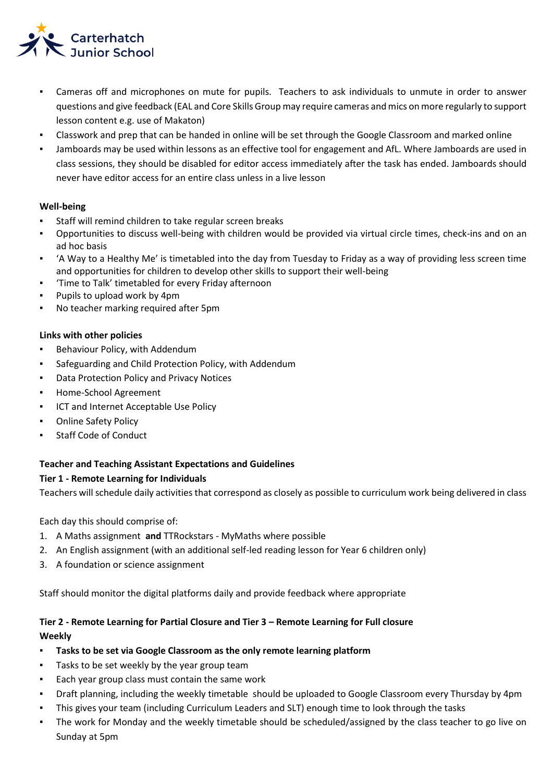

- Cameras off and microphones on mute for pupils. Teachers to ask individuals to unmute in order to answer questions and give feedback (EAL and Core Skills Group may require cameras and mics on more regularly to support lesson content e.g. use of Makaton)
- Classwork and prep that can be handed in online will be set through the Google Classroom and marked online
- Jamboards may be used within lessons as an effective tool for engagement and AfL. Where Jamboards are used in class sessions, they should be disabled for editor access immediately after the task has ended. Jamboards should never have editor access for an entire class unless in a live lesson

## **Well-being**

- Staff will remind children to take regular screen breaks
- Opportunities to discuss well-being with children would be provided via virtual circle times, check-ins and on an ad hoc basis
- 'A Way to a Healthy Me' is timetabled into the day from Tuesday to Friday as a way of providing less screen time and opportunities for children to develop other skills to support their well-being
- 'Time to Talk' timetabled for every Friday afternoon
- Pupils to upload work by 4pm
- No teacher marking required after 5pm

#### **Links with other policies**

- Behaviour Policy, with Addendum
- Safeguarding and Child Protection Policy, with Addendum
- Data Protection Policy and Privacy Notices
- Home-School Agreement
- **ICT and Internet Acceptable Use Policy**
- Online Safety Policy
- **Staff Code of Conduct**

#### **Teacher and Teaching Assistant Expectations and Guidelines**

#### **Tier 1 - Remote Learning for Individuals**

Teachers will schedule daily activities that correspond as closely as possible to curriculum work being delivered in class

Each day this should comprise of:

- 1. A Maths assignment **and** TTRockstars MyMaths where possible
- 2. An English assignment (with an additional self-led reading lesson for Year 6 children only)
- 3. A foundation or science assignment

Staff should monitor the digital platforms daily and provide feedback where appropriate

# **Tier 2 - Remote Learning for Partial Closure and Tier 3 – Remote Learning for Full closure Weekly**

- **Tasks to be set via Google Classroom as the only remote learning platform**
- Tasks to be set weekly by the year group team
- Each year group class must contain the same work
- Draft planning, including the weekly timetable should be uploaded to Google Classroom every Thursday by 4pm
- This gives your team (including Curriculum Leaders and SLT) enough time to look through the tasks
- The work for Monday and the weekly timetable should be scheduled/assigned by the class teacher to go live on Sunday at 5pm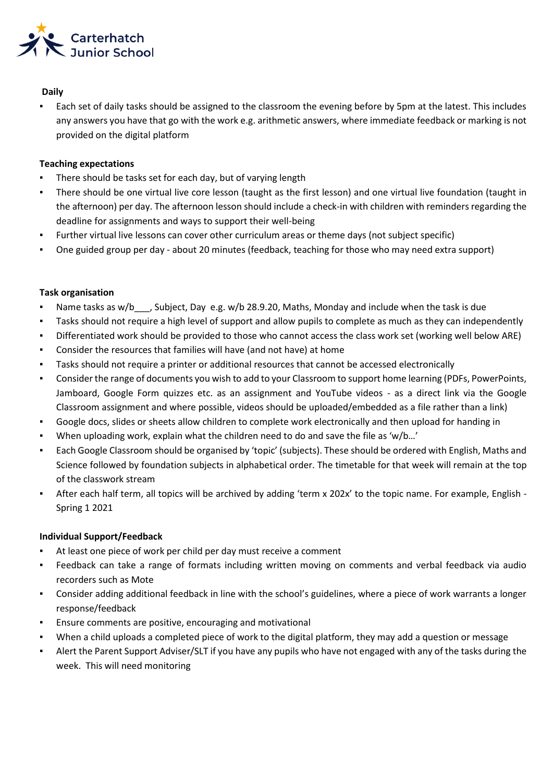

### **Daily**

Each set of daily tasks should be assigned to the classroom the evening before by 5pm at the latest. This includes any answers you have that go with the work e.g. arithmetic answers, where immediate feedback or marking is not provided on the digital platform

## **Teaching expectations**

- There should be tasks set for each day, but of varying length
- There should be one virtual live core lesson (taught as the first lesson) and one virtual live foundation (taught in the afternoon) per day. The afternoon lesson should include a check-in with children with reminders regarding the deadline for assignments and ways to support their well-being
- Further virtual live lessons can cover other curriculum areas or theme days (not subject specific)
- One guided group per day about 20 minutes (feedback, teaching for those who may need extra support)

## **Task organisation**

- **•** Name tasks as w/b\_\_\_, Subject, Day e.g. w/b 28.9.20, Maths, Monday and include when the task is due
- Tasks should not require a high level of support and allow pupils to complete as much as they can independently
- Differentiated work should be provided to those who cannot access the class work set (working well below ARE)
- Consider the resources that families will have (and not have) at home
- Tasks should not require a printer or additional resources that cannot be accessed electronically
- Consider the range of documents you wish to add to your Classroom to support home learning (PDFs, PowerPoints, Jamboard, Google Form quizzes etc. as an assignment and YouTube videos - as a direct link via the Google Classroom assignment and where possible, videos should be uploaded/embedded as a file rather than a link)
- Google docs, slides or sheets allow children to complete work electronically and then upload for handing in
- When uploading work, explain what the children need to do and save the file as 'w/b…'
- Each Google Classroom should be organised by 'topic' (subjects). These should be ordered with English, Maths and Science followed by foundation subjects in alphabetical order. The timetable for that week will remain at the top of the classwork stream
- After each half term, all topics will be archived by adding 'term x 202x' to the topic name. For example, English -Spring 1 2021

# **Individual Support/Feedback**

- At least one piece of work per child per day must receive a comment
- Feedback can take a range of formats including written moving on comments and verbal feedback via audio recorders such as Mote
- Consider adding additional feedback in line with the school's guidelines, where a piece of work warrants a longer response/feedback
- Ensure comments are positive, encouraging and motivational
- When a child uploads a completed piece of work to the digital platform, they may add a question or message
- Alert the Parent Support Adviser/SLT if you have any pupils who have not engaged with any of the tasks during the week. This will need monitoring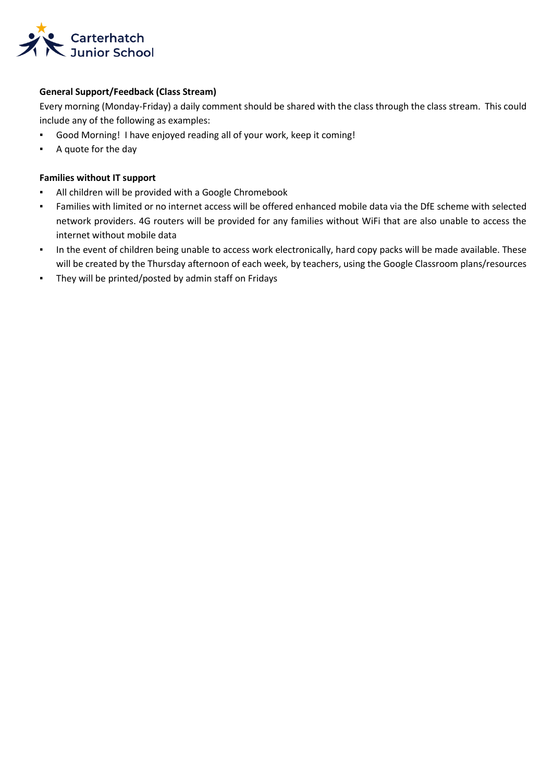

# **General Support/Feedback (Class Stream)**

Every morning (Monday-Friday) a daily comment should be shared with the class through the class stream. This could include any of the following as examples:

- Good Morning! I have enjoyed reading all of your work, keep it coming!
- A quote for the day

## **Families without IT support**

- All children will be provided with a Google Chromebook
- Families with limited or no internet access will be offered enhanced mobile data via the DfE scheme with selected network providers. 4G routers will be provided for any families without WiFi that are also unable to access the internet without mobile data
- In the event of children being unable to access work electronically, hard copy packs will be made available. These will be created by the Thursday afternoon of each week, by teachers, using the Google Classroom plans/resources
- They will be printed/posted by admin staff on Fridays